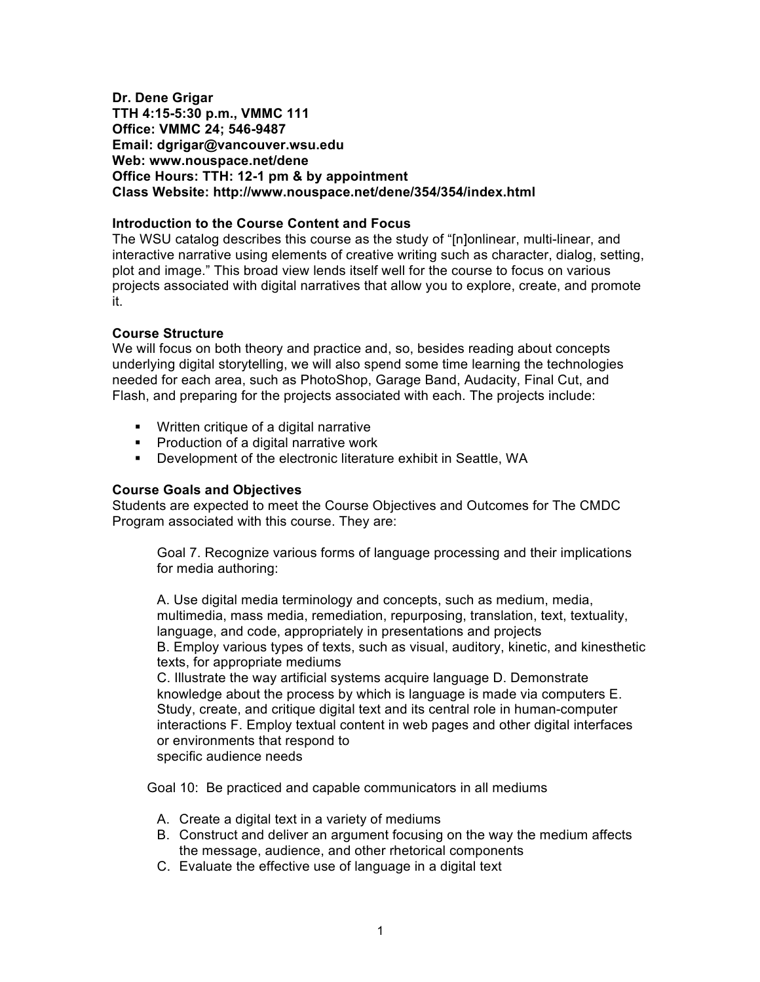**Dr. Dene Grigar TTH 4:15-5:30 p.m., VMMC 111 Office: VMMC 24; 546-9487 Email: dgrigar@vancouver.wsu.edu Web: www.nouspace.net/dene Office Hours: TTH: 12-1 pm & by appointment Class Website: http://www.nouspace.net/dene/354/354/index.html**

# **Introduction to the Course Content and Focus**

The WSU catalog describes this course as the study of "[n]onlinear, multi-linear, and interactive narrative using elements of creative writing such as character, dialog, setting, plot and image." This broad view lends itself well for the course to focus on various projects associated with digital narratives that allow you to explore, create, and promote it.

# **Course Structure**

We will focus on both theory and practice and, so, besides reading about concepts underlying digital storytelling, we will also spend some time learning the technologies needed for each area, such as PhotoShop, Garage Band, Audacity, Final Cut, and Flash, and preparing for the projects associated with each. The projects include:

- ! Written critique of a digital narrative
- ! Production of a digital narrative work
- ! Development of the electronic literature exhibit in Seattle, WA

# **Course Goals and Objectives**

Students are expected to meet the Course Objectives and Outcomes for The CMDC Program associated with this course. They are:

Goal 7. Recognize various forms of language processing and their implications for media authoring:

A. Use digital media terminology and concepts, such as medium, media, multimedia, mass media, remediation, repurposing, translation, text, textuality, language, and code, appropriately in presentations and projects

B. Employ various types of texts, such as visual, auditory, kinetic, and kinesthetic texts, for appropriate mediums

C. Illustrate the way artificial systems acquire language D. Demonstrate knowledge about the process by which is language is made via computers E. Study, create, and critique digital text and its central role in human-computer interactions F. Employ textual content in web pages and other digital interfaces or environments that respond to specific audience needs

Goal 10: Be practiced and capable communicators in all mediums

- A. Create a digital text in a variety of mediums
- B. Construct and deliver an argument focusing on the way the medium affects the message, audience, and other rhetorical components
- C. Evaluate the effective use of language in a digital text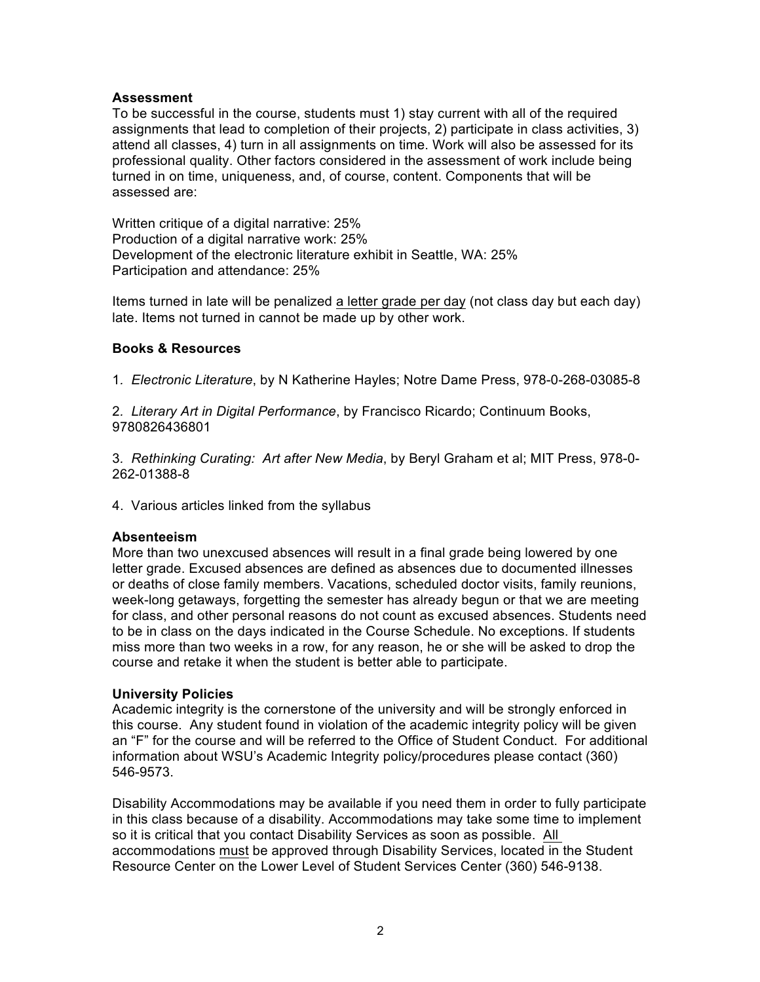# **Assessment**

To be successful in the course, students must 1) stay current with all of the required assignments that lead to completion of their projects, 2) participate in class activities, 3) attend all classes, 4) turn in all assignments on time. Work will also be assessed for its professional quality. Other factors considered in the assessment of work include being turned in on time, uniqueness, and, of course, content. Components that will be assessed are:

Written critique of a digital narrative: 25% Production of a digital narrative work: 25% Development of the electronic literature exhibit in Seattle, WA: 25% Participation and attendance: 25%

Items turned in late will be penalized a letter grade per day (not class day but each day) late. Items not turned in cannot be made up by other work.

# **Books & Resources**

1*. Electronic Literature*, by N Katherine Hayles; Notre Dame Press, 978-0-268-03085-8

2*. Literary Art in Digital Performance*, by Francisco Ricardo; Continuum Books, 9780826436801

3*. Rethinking Curating: Art after New Media*, by Beryl Graham et al; MIT Press, 978-0- 262-01388-8

4. Various articles linked from the syllabus

# **Absenteeism**

More than two unexcused absences will result in a final grade being lowered by one letter grade. Excused absences are defined as absences due to documented illnesses or deaths of close family members. Vacations, scheduled doctor visits, family reunions, week-long getaways, forgetting the semester has already begun or that we are meeting for class, and other personal reasons do not count as excused absences. Students need to be in class on the days indicated in the Course Schedule. No exceptions. If students miss more than two weeks in a row, for any reason, he or she will be asked to drop the course and retake it when the student is better able to participate.

# **University Policies**

Academic integrity is the cornerstone of the university and will be strongly enforced in this course. Any student found in violation of the academic integrity policy will be given an "F" for the course and will be referred to the Office of Student Conduct. For additional information about WSU's Academic Integrity policy/procedures please contact (360) 546-9573.

Disability Accommodations may be available if you need them in order to fully participate in this class because of a disability. Accommodations may take some time to implement so it is critical that you contact Disability Services as soon as possible. All accommodations must be approved through Disability Services, located in the Student Resource Center on the Lower Level of Student Services Center (360) 546-9138.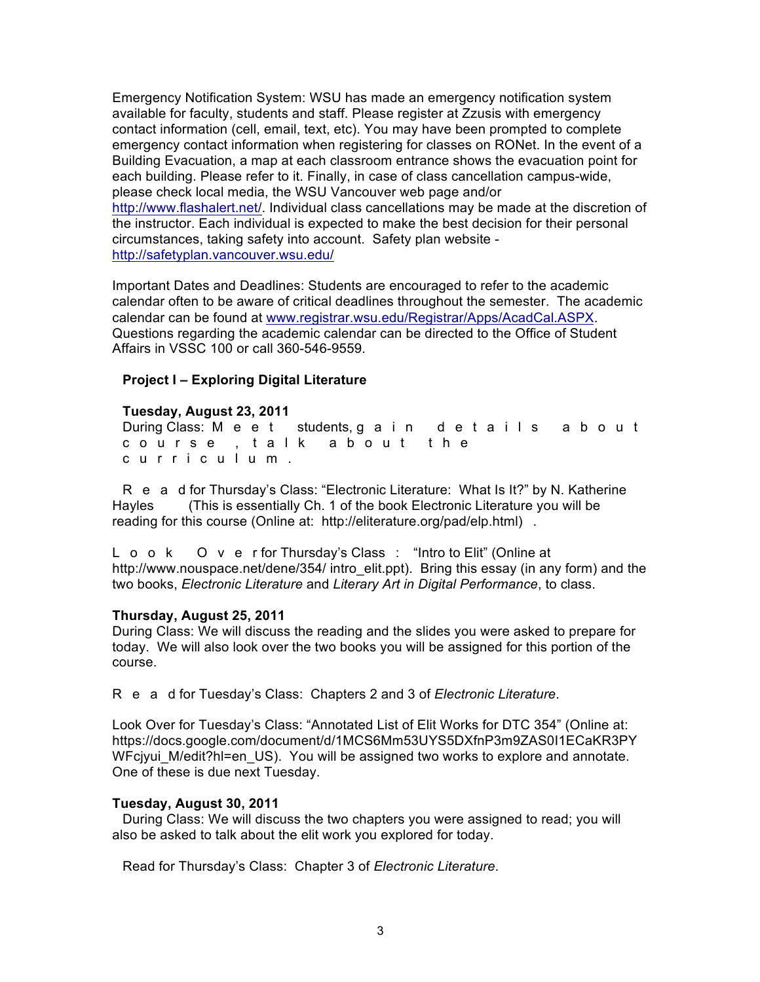Emergency Notification System: WSU has made an emergency notification system available for faculty, students and staff. Please register at Zzusis with emergency contact information (cell, email, text, etc). You may have been prompted to complete emergency contact information when registering for classes on RONet. In the event of a Building Evacuation, a map at each classroom entrance shows the evacuation point for each building. Please refer to it. Finally, in case of class cancellation campus-wide, please check local media, the WSU Vancouver web page and/or http://www.flashalert.net/. Individual class cancellations may be made at the discretion of the instructor. Each individual is expected to make the best decision for their personal circumstances, taking safety into account. Safety plan website http://safetyplan.vancouver.wsu.edu/

Important Dates and Deadlines: Students are encouraged to refer to the academic calendar often to be aware of critical deadlines throughout the semester. The academic calendar can be found at www.registrar.wsu.edu/Registrar/Apps/AcadCal.ASPX. Questions regarding the academic calendar can be directed to the Office of Student Affairs in VSSC 100 or call 360-546-9559.

## **Project I – Exploring Digital Literature**

## **Tuesday, August 23, 2011**

During Class: Meet students, gain details about course, talk about the curriculum.

R e a d for Thursday's Class: "Electronic Literature: What Is It?" by N. Katherine Hayles (This is essentially Ch. 1 of the book Electronic Literature you will be reading for this course (Online at: http://eliterature.org/pad/elp.html).

L o o k O v e r for Thursday's Class: "Intro to Elit" (Online at http://www.nouspace.net/dene/354/ intro elit.ppt). Bring this essay (in any form) and the two books, *Electronic Literature* and *Literary Art in Digital Performance*, to class.

#### **Thursday, August 25, 2011**

During Class: We will discuss the reading and the slides you were asked to prepare for today. We will also look over the two books you will be assigned for this portion of the course.

Read for Tuesday's Class: Chapters 2 and 3 of *Electronic Literature*.

Look Over for Tuesday's Class: "Annotated List of Elit Works for DTC 354" (Online at: https://docs.google.com/document/d/1MCS6Mm53UYS5DXfnP3m9ZAS0I1ECaKR3PY WFcjyui M/edit?hl=en US). You will be assigned two works to explore and annotate. One of these is due next Tuesday.

#### **Tuesday, August 30, 2011**

During Class: We will discuss the two chapters you were assigned to read; you will also be asked to talk about the elit work you explored for today.

Read for Thursday's Class: Chapter 3 of *Electronic Literature*.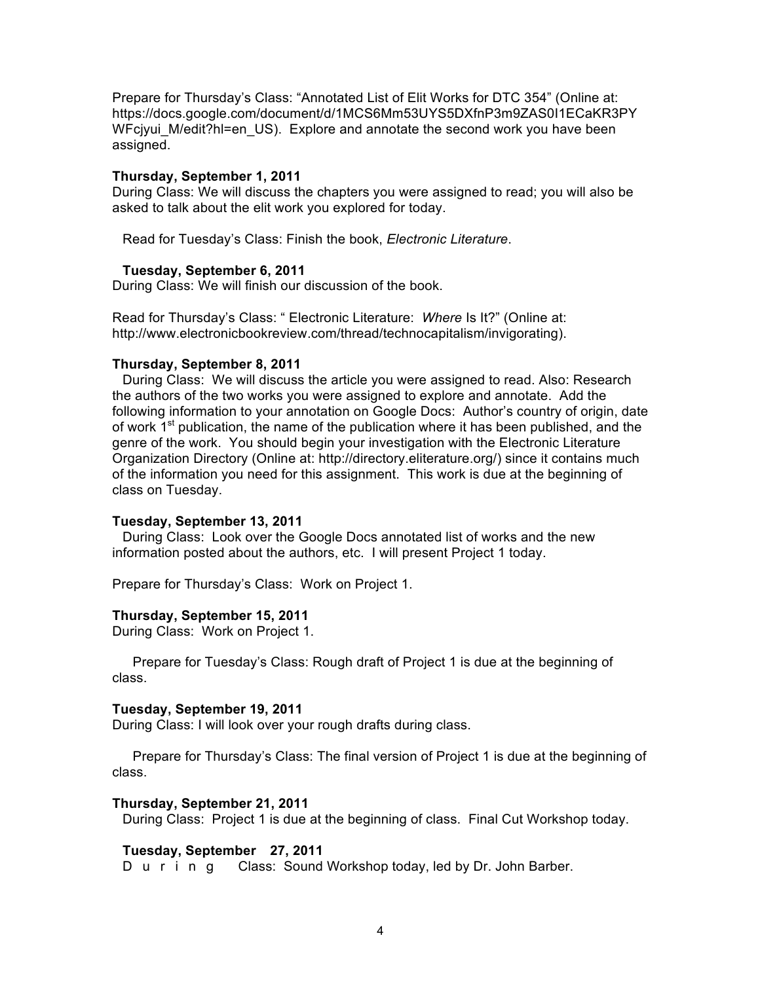Prepare for Thursday's Class: "Annotated List of Elit Works for DTC 354" (Online at: https://docs.google.com/document/d/1MCS6Mm53UYS5DXfnP3m9ZAS0I1ECaKR3PY WFcjyui\_M/edit?hl=en\_US). Explore and annotate the second work you have been assigned.

## **Thursday, September 1, 2011**

During Class: We will discuss the chapters you were assigned to read; you will also be asked to talk about the elit work you explored for today.

Read for Tuesday's Class: Finish the book, *Electronic Literature*.

## **Tuesday, September 6, 2011**

During Class: We will finish our discussion of the book.

Read for Thursday's Class: " Electronic Literature: *Where* Is It?" (Online at: http://www.electronicbookreview.com/thread/technocapitalism/invigorating).

## **Thursday, September 8, 2011**

During Class: We will discuss the article you were assigned to read. Also: Research the authors of the two works you were assigned to explore and annotate. Add the following information to your annotation on Google Docs: Author's country of origin, date of work  $1<sup>st</sup>$  publication, the name of the publication where it has been published, and the genre of the work. You should begin your investigation with the Electronic Literature Organization Directory (Online at: http://directory.eliterature.org/) since it contains much of the information you need for this assignment. This work is due at the beginning of class on Tuesday.

#### **Tuesday, September 13, 2011**

During Class: Look over the Google Docs annotated list of works and the new information posted about the authors, etc. I will present Project 1 today.

Prepare for Thursday's Class: Work on Project 1.

#### **Thursday, September 15, 2011**

During Class: Work on Project 1.

Prepare for Tuesday's Class: Rough draft of Project 1 is due at the beginning of class.

#### **Tuesday, September 19, 2011**

During Class: I will look over your rough drafts during class.

Prepare for Thursday's Class: The final version of Project 1 is due at the beginning of class.

#### **Thursday, September 21, 2011**

During Class: Project 1 is due at the beginning of class. Final Cut Workshop today.

# **Tuesday, September 27, 2011**

During Class: Sound Workshop today, led by Dr. John Barber.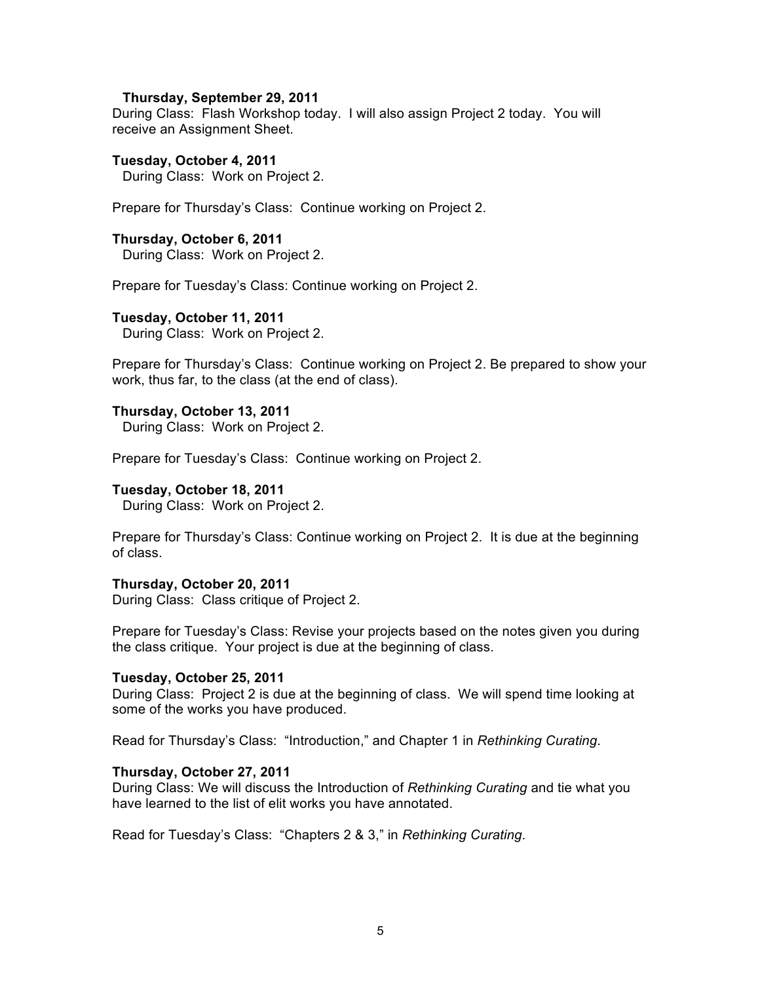#### **Thursday, September 29, 2011**

During Class: Flash Workshop today. I will also assign Project 2 today. You will receive an Assignment Sheet.

#### **Tuesday, October 4, 2011**

During Class: Work on Project 2.

Prepare for Thursday's Class: Continue working on Project 2.

## **Thursday, October 6, 2011**

During Class: Work on Project 2.

Prepare for Tuesday's Class: Continue working on Project 2.

#### **Tuesday, October 11, 2011**

During Class: Work on Project 2.

Prepare for Thursday's Class: Continue working on Project 2. Be prepared to show your work, thus far, to the class (at the end of class).

#### **Thursday, October 13, 2011**

During Class: Work on Project 2.

Prepare for Tuesday's Class: Continue working on Project 2.

### **Tuesday, October 18, 2011**

During Class: Work on Project 2.

Prepare for Thursday's Class: Continue working on Project 2. It is due at the beginning of class.

#### **Thursday, October 20, 2011**

During Class: Class critique of Project 2.

Prepare for Tuesday's Class: Revise your projects based on the notes given you during the class critique. Your project is due at the beginning of class.

#### **Tuesday, October 25, 2011**

During Class: Project 2 is due at the beginning of class. We will spend time looking at some of the works you have produced.

Read for Thursday's Class: "Introduction," and Chapter 1 in *Rethinking Curating*.

#### **Thursday, October 27, 2011**

During Class: We will discuss the Introduction of *Rethinking Curating* and tie what you have learned to the list of elit works you have annotated.

Read for Tuesday's Class: "Chapters 2 & 3," in *Rethinking Curating*.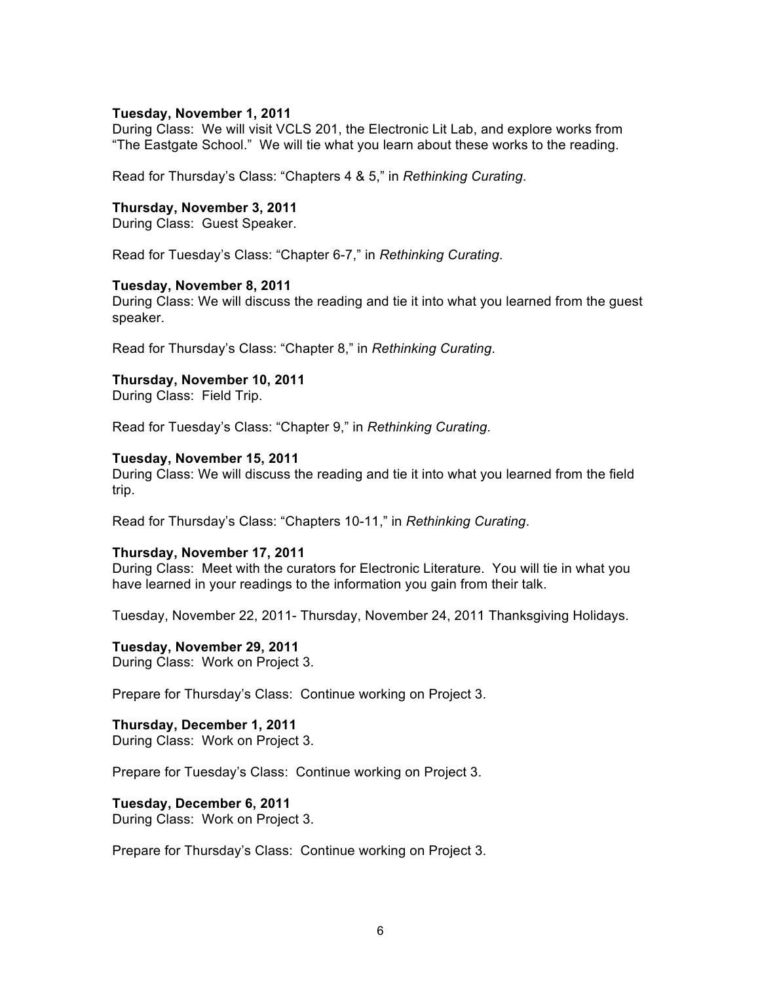#### **Tuesday, November 1, 2011**

During Class: We will visit VCLS 201, the Electronic Lit Lab, and explore works from "The Eastgate School." We will tie what you learn about these works to the reading.

Read for Thursday's Class: "Chapters 4 & 5," in *Rethinking Curating*.

### **Thursday, November 3, 2011**

During Class: Guest Speaker.

Read for Tuesday's Class: "Chapter 6-7," in *Rethinking Curating*.

#### **Tuesday, November 8, 2011**

During Class: We will discuss the reading and tie it into what you learned from the guest speaker.

Read for Thursday's Class: "Chapter 8," in *Rethinking Curating*.

## **Thursday, November 10, 2011**

During Class: Field Trip.

Read for Tuesday's Class: "Chapter 9," in *Rethinking Curating*.

## **Tuesday, November 15, 2011**

During Class: We will discuss the reading and tie it into what you learned from the field trip.

Read for Thursday's Class: "Chapters 10-11," in *Rethinking Curating*.

# **Thursday, November 17, 2011**

During Class: Meet with the curators for Electronic Literature. You will tie in what you have learned in your readings to the information you gain from their talk.

Tuesday, November 22, 2011- Thursday, November 24, 2011 Thanksgiving Holidays.

# **Tuesday, November 29, 2011**

During Class: Work on Project 3.

Prepare for Thursday's Class: Continue working on Project 3.

# **Thursday, December 1, 2011**

During Class: Work on Project 3.

Prepare for Tuesday's Class: Continue working on Project 3.

# **Tuesday, December 6, 2011**

During Class: Work on Project 3.

Prepare for Thursday's Class: Continue working on Project 3.